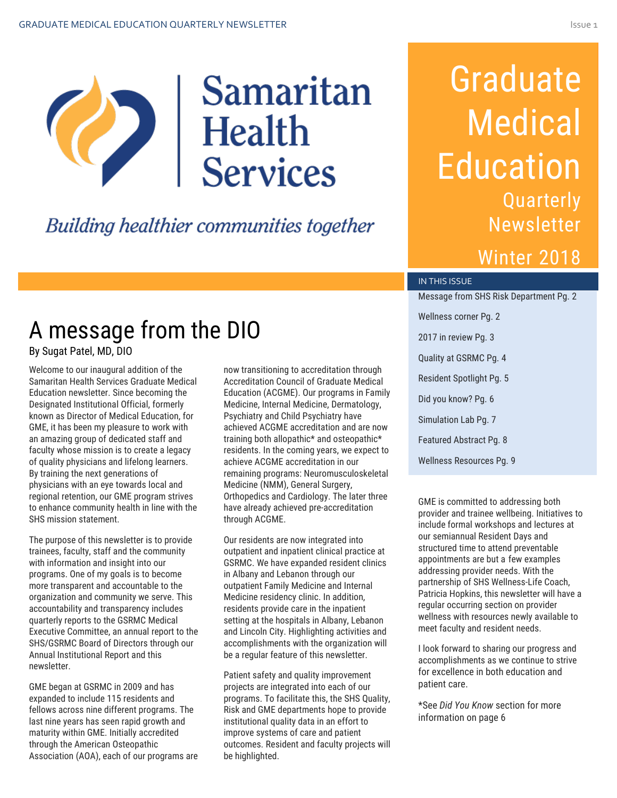

### **Building healthier communities together**

# Graduate **Medical** Education Quarterly **Newsletter**

### Winter 2018

#### IN THIS ISSUE

Message from SHS Risk Department Pg. 2 Wellness corner Pg. 2 2017 in review Pg. 3 Quality at GSRMC Pg. 4 Resident Spotlight Pg. 5 Did you know? Pg. 6 Simulation Lab Pg. 7 Featured Abstract Pg. 8 Wellness Resources Pg. 9

GME is committed to addressing both provider and trainee wellbeing. Initiatives to include formal workshops and lectures at our semiannual Resident Days and structured time to attend preventable appointments are but a few examples addressing provider needs. With the partnership of SHS Wellness-Life Coach, Patricia Hopkins, this newsletter will have a regular occurring section on provider wellness with resources newly available to meet faculty and resident needs.

I look forward to sharing our progress and accomplishments as we continue to strive for excellence in both education and patient care.

\*See *Did You Know* section for more information on page 6

### A message from the DIO By Sugat Patel, MD, DIO

Welcome to our inaugural addition of the Samaritan Health Services Graduate Medical Education newsletter. Since becoming the Designated Institutional Official, formerly known as Director of Medical Education, for GME, it has been my pleasure to work with an amazing group of dedicated staff and faculty whose mission is to create a legacy of quality physicians and lifelong learners. By training the next generations of physicians with an eye towards local and regional retention, our GME program strives to enhance community health in line with the SHS mission statement.

The purpose of this newsletter is to provide trainees, faculty, staff and the community with information and insight into our programs. One of my goals is to become more transparent and accountable to the organization and community we serve. This accountability and transparency includes quarterly reports to the GSRMC Medical Executive Committee, an annual report to the SHS/GSRMC Board of Directors through our Annual Institutional Report and this newsletter.

GME began at GSRMC in 2009 and has expanded to include 115 residents and fellows across nine different programs. The last nine years has seen rapid growth and maturity within GME. Initially accredited through the American Osteopathic Association (AOA), each of our programs are now transitioning to accreditation through Accreditation Council of Graduate Medical Education (ACGME). Our programs in Family Medicine, Internal Medicine, Dermatology, Psychiatry and Child Psychiatry have achieved ACGME accreditation and are now training both allopathic\* and osteopathic\* residents. In the coming years, we expect to achieve ACGME accreditation in our remaining programs: Neuromusculoskeletal Medicine (NMM), General Surgery, Orthopedics and Cardiology. The later three have already achieved pre-accreditation through ACGME.

Our residents are now integrated into outpatient and inpatient clinical practice at GSRMC. We have expanded resident clinics in Albany and Lebanon through our outpatient Family Medicine and Internal Medicine residency clinic. In addition, residents provide care in the inpatient setting at the hospitals in Albany, Lebanon and Lincoln City. Highlighting activities and accomplishments with the organization will be a regular feature of this newsletter.

Patient safety and quality improvement projects are integrated into each of our programs. To facilitate this, the SHS Quality, Risk and GME departments hope to provide institutional quality data in an effort to improve systems of care and patient outcomes. Resident and faculty projects will be highlighted.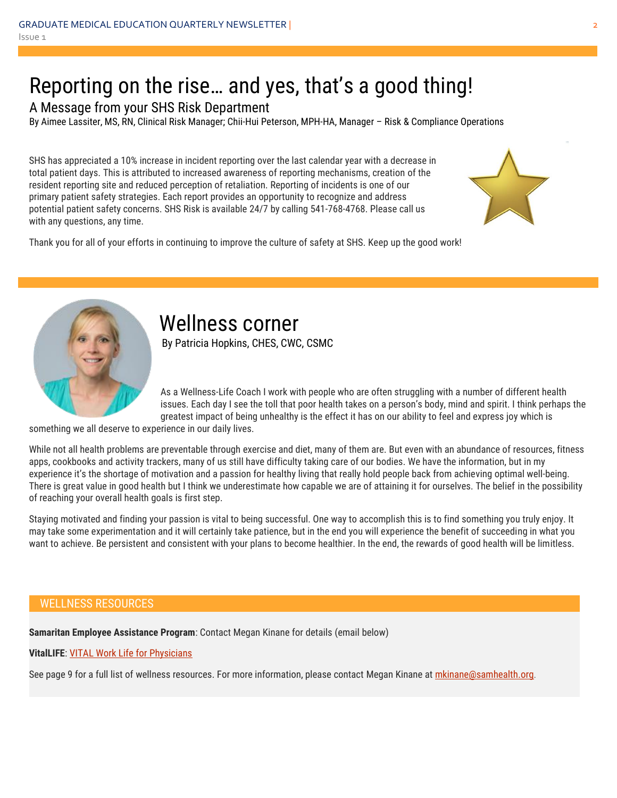### Reporting on the rise… and yes, that's a good thing!

A Message from your SHS Risk Department

By Aimee Lassiter, MS, RN, Clinical Risk Manager; Chii-Hui Peterson, MPH-HA, Manager – Risk & Compliance Operations

SHS has appreciated a 10% increase in incident reporting over the last calendar year with a decrease in total patient days. This is attributed to increased awareness of reporting mechanisms, creation of the resident reporting site and reduced perception of retaliation. Reporting of incidents is one of our primary patient safety strategies. Each report provides an opportunity to recognize and address potential patient safety concerns. SHS Risk is available 24/7 by calling 541-768-4768. Please call us with any questions, any time.



Thank you for all of your efforts in continuing to improve the culture of safety at SHS. Keep up the good work!



### Wellness corner

By Patricia Hopkins, CHES, CWC, CSMC

As a Wellness-Life Coach I work with people who are often struggling with a number of different health issues. Each day I see the toll that poor health takes on a person's body, mind and spirit. I think perhaps the greatest impact of being unhealthy is the effect it has on our ability to feel and express joy which is

something we all deserve to experience in our daily lives.

While not all health problems are preventable through exercise and diet, many of them are. But even with an abundance of resources, fitness apps, cookbooks and activity trackers, many of us still have difficulty taking care of our bodies. We have the information, but in my experience it's the shortage of motivation and a passion for healthy living that really hold people back from achieving optimal well-being. There is great value in good health but I think we underestimate how capable we are of attaining it for ourselves. The belief in the possibility of reaching your overall health goals is first step.

Staying motivated and finding your passion is vital to being successful. One way to accomplish this is to find something you truly enjoy. It may take some experimentation and it will certainly take patience, but in the end you will experience the benefit of succeeding in what you want to achieve. Be persistent and consistent with your plans to become healthier. In the end, the rewards of good health will be limitless.

#### WELLNESS RESOURCES

**Samaritan Employee Assistance Program**: Contact Megan Kinane for details (email below)

**VitalLIFE**: [VITAL Work Life for Physicians](http://shsinsider/sites/other/Physician-Page/Pages/default.aspx)

See page 9 for a full list of wellness resources. For more information, please contact Megan Kinane at [mkinane@samhealth.org](mailto:mkinane@samhealth.org).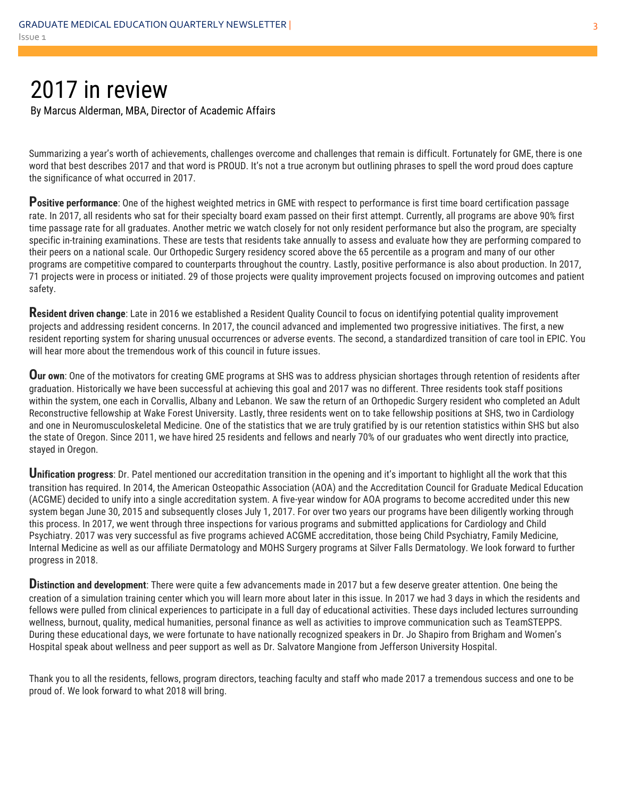### 2017 in review

By Marcus Alderman, MBA, Director of Academic Affairs

Summarizing a year's worth of achievements, challenges overcome and challenges that remain is difficult. Fortunately for GME, there is one word that best describes 2017 and that word is PROUD. It's not a true acronym but outlining phrases to spell the word proud does capture the significance of what occurred in 2017.

Positive performance: One of the highest weighted metrics in GME with respect to performance is first time board certification passage rate. In 2017, all residents who sat for their specialty board exam passed on their first attempt. Currently, all programs are above 90% first time passage rate for all graduates. Another metric we watch closely for not only resident performance but also the program, are specialty specific in-training examinations. These are tests that residents take annually to assess and evaluate how they are performing compared to their peers on a national scale. Our Orthopedic Surgery residency scored above the 65 percentile as a program and many of our other programs are competitive compared to counterparts throughout the country. Lastly, positive performance is also about production. In 2017, 71 projects were in process or initiated. 29 of those projects were quality improvement projects focused on improving outcomes and patient safety.

**Resident driven change**: Late in 2016 we established a Resident Quality Council to focus on identifying potential quality improvement projects and addressing resident concerns. In 2017, the council advanced and implemented two progressive initiatives. The first, a new resident reporting system for sharing unusual occurrences or adverse events. The second, a standardized transition of care tool in EPIC. You will hear more about the tremendous work of this council in future issues.

**Our own**: One of the motivators for creating GME programs at SHS was to address physician shortages through retention of residents after graduation. Historically we have been successful at achieving this goal and 2017 was no different. Three residents took staff positions within the system, one each in Corvallis, Albany and Lebanon. We saw the return of an Orthopedic Surgery resident who completed an Adult Reconstructive fellowship at Wake Forest University. Lastly, three residents went on to take fellowship positions at SHS, two in Cardiology and one in Neuromusculoskeletal Medicine. One of the statistics that we are truly gratified by is our retention statistics within SHS but also the state of Oregon. Since 2011, we have hired 25 residents and fellows and nearly 70% of our graduates who went directly into practice, stayed in Oregon.

**Unification progress**: Dr. Patel mentioned our accreditation transition in the opening and it's important to highlight all the work that this transition has required. In 2014, the American Osteopathic Association (AOA) and the Accreditation Council for Graduate Medical Education (ACGME) decided to unify into a single accreditation system. A five-year window for AOA programs to become accredited under this new system began June 30, 2015 and subsequently closes July 1, 2017. For over two years our programs have been diligently working through this process. In 2017, we went through three inspections for various programs and submitted applications for Cardiology and Child Psychiatry. 2017 was very successful as five programs achieved ACGME accreditation, those being Child Psychiatry, Family Medicine, Internal Medicine as well as our affiliate Dermatology and MOHS Surgery programs at Silver Falls Dermatology. We look forward to further progress in 2018.

**D**istinction and development: There were quite a few advancements made in 2017 but a few deserve greater attention. One being the creation of a simulation training center which you will learn more about later in this issue. In 2017 we had 3 days in which the residents and fellows were pulled from clinical experiences to participate in a full day of educational activities. These days included lectures surrounding wellness, burnout, quality, medical humanities, personal finance as well as activities to improve communication such as TeamSTEPPS. During these educational days, we were fortunate to have nationally recognized speakers in Dr. Jo Shapiro from Brigham and Women's Hospital speak about wellness and peer support as well as Dr. Salvatore Mangione from Jefferson University Hospital.

Thank you to all the residents, fellows, program directors, teaching faculty and staff who made 2017 a tremendous success and one to be proud of. We look forward to what 2018 will bring.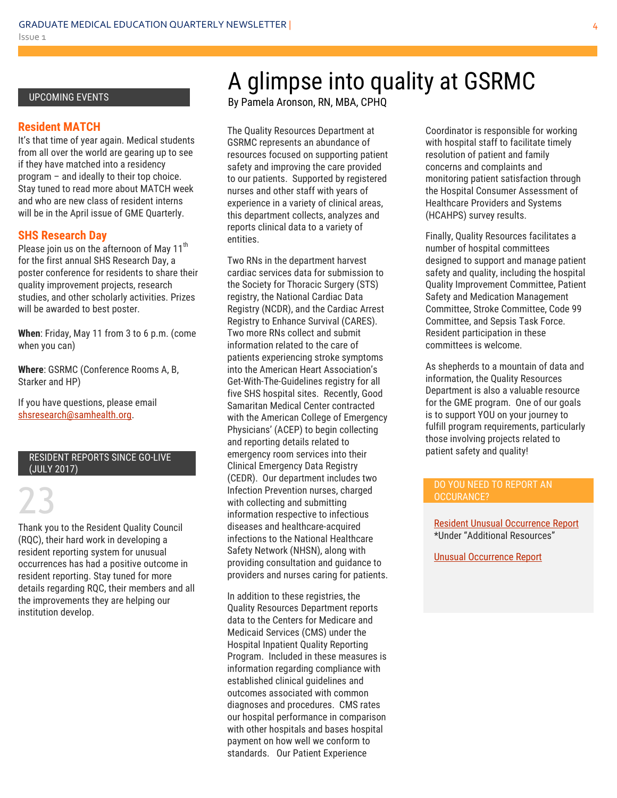#### UPCOMING EVENTS

#### **Resident MATCH**

It's that time of year again. Medical students from all over the world are gearing up to see if they have matched into a residency program – and ideally to their top choice. Stay tuned to read more about MATCH week and who are new class of resident interns will be in the April issue of GME Quarterly.

#### **SHS Research Day**

Please join us on the afternoon of May  $11<sup>th</sup>$ for the first annual SHS Research Day, a poster conference for residents to share their quality improvement projects, research studies, and other scholarly activities. Prizes will be awarded to best poster.

**When**: Friday, May 11 from 3 to 6 p.m. (come when you can)

**Where**: GSRMC (Conference Rooms A, B, Starker and HP)

If you have questions, please email [shsresearch@samhealth.org.](mailto:shsresearch@samhealth.org)

#### RESIDENT REPORTS SINCE GO-LIVE (JULY 2017)

23 Thank you to the Resident Quality Council (RQC), their hard work in developing a resident reporting system for unusual occurrences has had a positive outcome in resident reporting. Stay tuned for more details regarding RQC, their members and all the improvements they are helping our institution develop.

## A glimpse into quality at GSRMC

By Pamela Aronson, RN, MBA, CPHQ

The Quality Resources Department at GSRMC represents an abundance of resources focused on supporting patient safety and improving the care provided to our patients. Supported by registered nurses and other staff with years of experience in a variety of clinical areas, this department collects, analyzes and reports clinical data to a variety of entities.

Two RNs in the department harvest cardiac services data for submission to the Society for Thoracic Surgery (STS) registry, the National Cardiac Data Registry (NCDR), and the Cardiac Arrest Registry to Enhance Survival (CARES). Two more RNs collect and submit information related to the care of patients experiencing stroke symptoms into the American Heart Association's Get-With-The-Guidelines registry for all five SHS hospital sites. Recently, Good Samaritan Medical Center contracted with the American College of Emergency Physicians' (ACEP) to begin collecting and reporting details related to emergency room services into their Clinical Emergency Data Registry (CEDR). Our department includes two Infection Prevention nurses, charged with collecting and submitting information respective to infectious diseases and healthcare-acquired infections to the National Healthcare Safety Network (NHSN), along with providing consultation and guidance to providers and nurses caring for patients.

In addition to these registries, the Quality Resources Department reports data to the Centers for Medicare and Medicaid Services (CMS) under the Hospital Inpatient Quality Reporting Program. Included in these measures is information regarding compliance with established clinical guidelines and outcomes associated with common diagnoses and procedures. CMS rates our hospital performance in comparison with other hospitals and bases hospital payment on how well we conform to standards. Our Patient Experience

Coordinator is responsible for working with hospital staff to facilitate timely resolution of patient and family concerns and complaints and monitoring patient satisfaction through the Hospital Consumer Assessment of Healthcare Providers and Systems (HCAHPS) survey results.

Finally, Quality Resources facilitates a number of hospital committees designed to support and manage patient safety and quality, including the hospital Quality Improvement Committee, Patient Safety and Medication Management Committee, Stroke Committee, Code 99 Committee, and Sepsis Task Force. Resident participation in these committees is welcome.

As shepherds to a mountain of data and information, the Quality Resources Department is also a valuable resource for the GME program. One of our goals is to support YOU on your journey to fulfill program requirements, particularly those involving projects related to patient safety and quality!

#### DO YOU NEED TO REPORT AN OCCURANCE?

[Resident Unusual Occurrence Report](http://shsinsider/sites/other/Physician-Page/Pages/default.aspx) \*Under "Additional Resources"

[Unusual Occurrence Report](http://shsinsider/sites/departments/Risk-Management/UOR%20Entry/Forms/AllItems.aspx)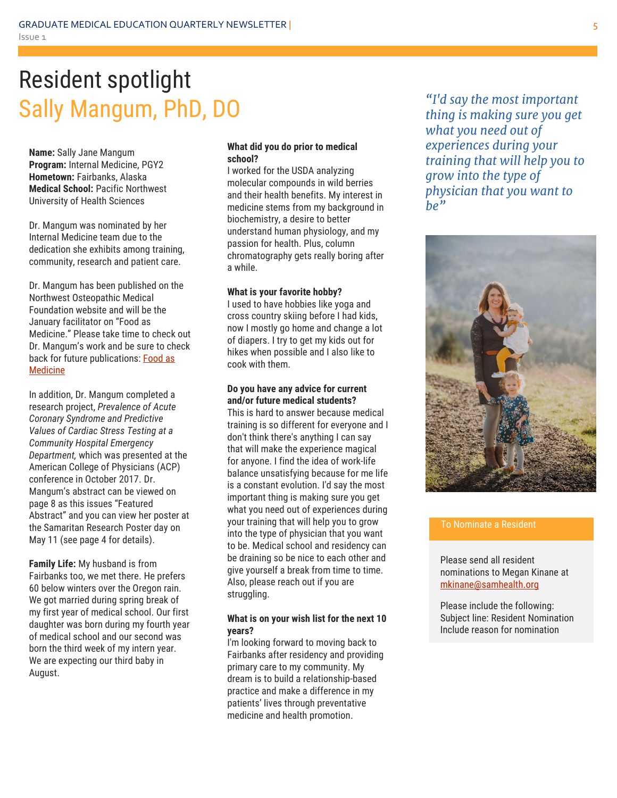## Resident spotlight Sally Mangum, PhD, DO

**Name:** Sally Jane Mangum **Program:** Internal Medicine, PGY2 **Hometown:** Fairbanks, Alaska **Medical School:** Pacific Northwest University of Health Sciences

Dr. Mangum was nominated by her Internal Medicine team due to the dedication she exhibits among training, community, research and patient care.

Dr. Mangum has been published on the Northwest Osteopathic Medical Foundation website and will be the January facilitator on "Food as Medicine." Please take time to check out Dr. Mangum's work and be sure to check back for future publications: **Food as** [Medicine](https://www.nwosteo.org/food-as-medicine-part-i-in-a-series/)

In addition, Dr. Mangum completed a research project, *Prevalence of Acute Coronary Syndrome and Predictive Values of Cardiac Stress Testing at a Community Hospital Emergency Department,* which was presented at the American College of Physicians (ACP) conference in October 2017. Dr. Mangum's abstract can be viewed on page 8 as this issues "Featured Abstract" and you can view her poster at the Samaritan Research Poster day on May 11 (see page 4 for details).

**Family Life:** My husband is from Fairbanks too, we met there. He prefers 60 below winters over the Oregon rain. We got married during spring break of my first year of medical school. Our first daughter was born during my fourth year of medical school and our second was born the third week of my intern year. We are expecting our third baby in August.

#### **What did you do prior to medical school?**

I worked for the USDA analyzing molecular compounds in wild berries and their health benefits. My interest in medicine stems from my background in biochemistry, a desire to better understand human physiology, and my passion for health. Plus, column chromatography gets really boring after a while.

#### **What is your favorite hobby?**

I used to have hobbies like yoga and cross country skiing before I had kids, now I mostly go home and change a lot of diapers. I try to get my kids out for hikes when possible and I also like to cook with them.

#### **Do you have any advice for current and/or future medical students?**

This is hard to answer because medical training is so different for everyone and I don't think there's anything I can say that will make the experience magical for anyone. I find the idea of work-life balance unsatisfying because for me life is a constant evolution. I'd say the most important thing is making sure you get what you need out of experiences during your training that will help you to grow into the type of physician that you want to be. Medical school and residency can be draining so be nice to each other and give yourself a break from time to time. Also, please reach out if you are struggling.

#### **What is on your wish list for the next 10 years?**

I'm looking forward to moving back to Fairbanks after residency and providing primary care to my community. My dream is to build a relationship-based practice and make a difference in my patients' lives through preventative medicine and health promotion.

*"I'd say the most important thing is making sure you get what you need out of experiences during your training that will help you to grow into the type of physician that you want to be"*



#### To Nominate a Resident

Please send all resident nominations to Megan Kinane at [mkinane@samhealth.org](mailto:mkinane@samhealth.org)

Please include the following: Subject line: Resident Nomination Include reason for nomination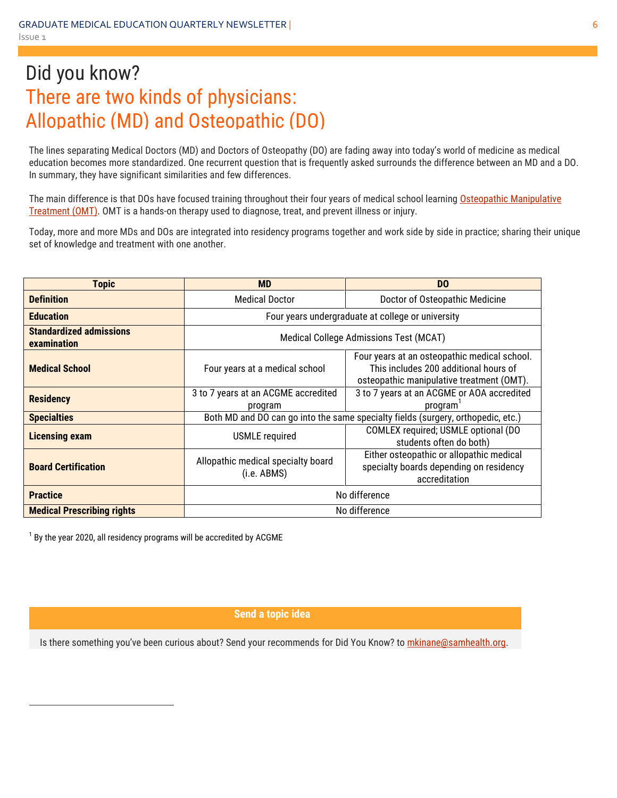### Did you know? There are two kinds of physicians: Allopathic (MD) and Osteopathic (DO)

The lines separating Medical Doctors (MD) and Doctors of Osteopathy (DO) are fading away into today's world of medicine as medical education becomes more standardized. One recurrent question that is frequently asked surrounds the difference between an MD and a DO. In summary, they have significant similarities and few differences.

The main difference is that DOs have focused training throughout their four years of medical school learning Osteopathic Manipulative [Treatment \(OMT\).](http://www.osteopathic.org/osteopathic-health/treatment/Pages/default.aspx) OMT is a hands-on therapy used to diagnose, treat, and prevent illness or injury.

Today, more and more MDs and DOs are integrated into residency programs together and work side by side in practice; sharing their unique set of knowledge and treatment with one another.

| <b>Topic</b>                                  | <b>MD</b>                                                                        | D <sub>0</sub>                                                                                                                     |
|-----------------------------------------------|----------------------------------------------------------------------------------|------------------------------------------------------------------------------------------------------------------------------------|
| <b>Definition</b>                             | <b>Medical Doctor</b>                                                            | Doctor of Osteopathic Medicine                                                                                                     |
| <b>Education</b>                              | Four years undergraduate at college or university                                |                                                                                                                                    |
| <b>Standardized admissions</b><br>examination | Medical College Admissions Test (MCAT)                                           |                                                                                                                                    |
| <b>Medical School</b>                         | Four years at a medical school                                                   | Four years at an osteopathic medical school.<br>This includes 200 additional hours of<br>osteopathic manipulative treatment (OMT). |
| <b>Residency</b>                              | 3 to 7 years at an ACGME accredited<br>program                                   | 3 to 7 years at an ACGME or AOA accredited<br>program                                                                              |
| <b>Specialties</b>                            | Both MD and DO can go into the same specialty fields (surgery, orthopedic, etc.) |                                                                                                                                    |
| <b>Licensing exam</b>                         | <b>USMLE</b> required                                                            | COMLEX required; USMLE optional (DO<br>students often do both)                                                                     |
| <b>Board Certification</b>                    | Allopathic medical specialty board<br>(i.e. ABMS)                                | Either osteopathic or allopathic medical<br>specialty boards depending on residency<br>accreditation                               |
| <b>Practice</b>                               | No difference                                                                    |                                                                                                                                    |
| <b>Medical Prescribing rights</b>             | No difference                                                                    |                                                                                                                                    |

 $^1$  By the year 2020, all residency programs will be accredited by ACGME

 $\overline{a}$ 

**Send a topic idea**

Is there something you've been curious about? Send your recommends for Did You Know? to mkinane@samhealth.org.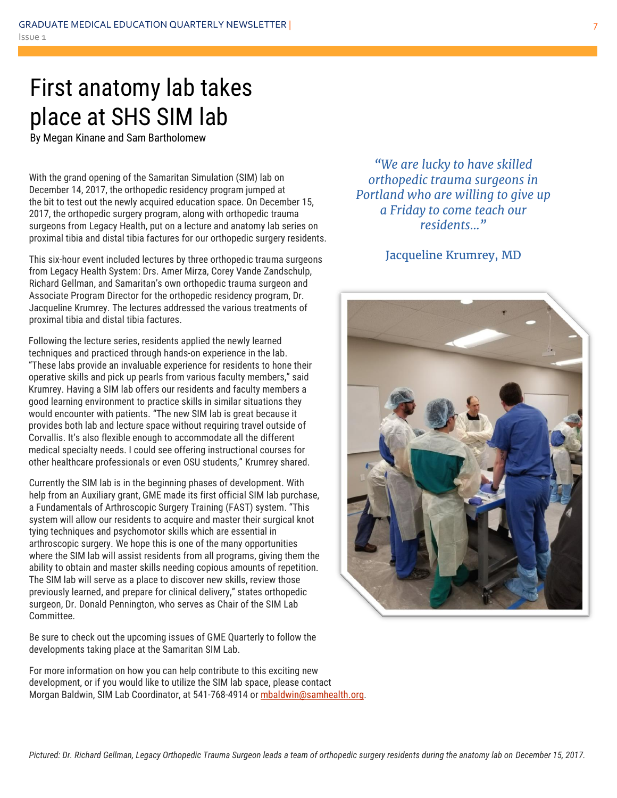## First anatomy lab takes place at SHS SIM lab

By Megan Kinane and Sam Bartholomew

With the grand opening of the Samaritan Simulation (SIM) lab on December 14, 2017, the orthopedic residency program jumped at the bit to test out the newly acquired education space. On December 15, 2017, the orthopedic surgery program, along with orthopedic trauma surgeons from Legacy Health, put on a lecture and anatomy lab series on proximal tibia and distal tibia factures for our orthopedic surgery residents.

This six-hour event included lectures by three orthopedic trauma surgeons from Legacy Health System: Drs. Amer Mirza, Corey Vande Zandschulp, Richard Gellman, and Samaritan's own orthopedic trauma surgeon and Associate Program Director for the orthopedic residency program, Dr. Jacqueline Krumrey. The lectures addressed the various treatments of proximal tibia and distal tibia factures.

Following the lecture series, residents applied the newly learned techniques and practiced through hands-on experience in the lab. "These labs provide an invaluable experience for residents to hone their operative skills and pick up pearls from various faculty members," said Krumrey. Having a SIM lab offers our residents and faculty members a good learning environment to practice skills in similar situations they would encounter with patients. "The new SIM lab is great because it provides both lab and lecture space without requiring travel outside of Corvallis. It's also flexible enough to accommodate all the different medical specialty needs. I could see offering instructional courses for other healthcare professionals or even OSU students," Krumrey shared.

Currently the SIM lab is in the beginning phases of development. With help from an Auxiliary grant, GME made its first official SIM lab purchase, a Fundamentals of Arthroscopic Surgery Training (FAST) system. "This system will allow our residents to acquire and master their surgical knot tying techniques and psychomotor skills which are essential in arthroscopic surgery. We hope this is one of the many opportunities where the SIM lab will assist residents from all programs, giving them the ability to obtain and master skills needing copious amounts of repetition. The SIM lab will serve as a place to discover new skills, review those previously learned, and prepare for clinical delivery," states orthopedic surgeon, Dr. Donald Pennington, who serves as Chair of the SIM Lab Committee.

Be sure to check out the upcoming issues of GME Quarterly to follow the developments taking place at the Samaritan SIM Lab.

For more information on how you can help contribute to this exciting new development, or if you would like to utilize the SIM lab space, please contact Morgan Baldwin, SIM Lab Coordinator, at 541-768-4914 or [mbaldwin@samhealth.org](mailto:mbaldwin@samhealth.org).

*"We are lucky to have skilled orthopedic trauma surgeons in Portland who are willing to give up a Friday to come teach our residents…"*

Jacqueline Krumrey, MD

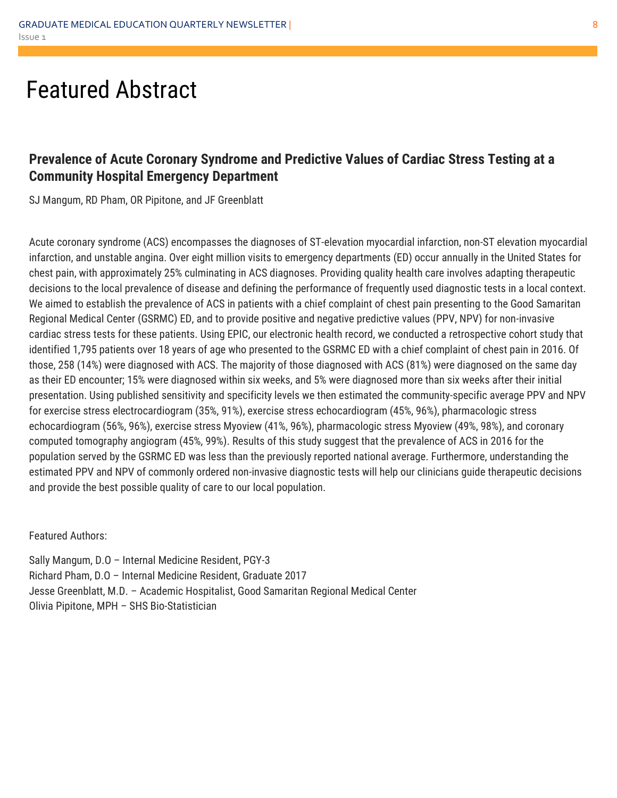### Featured Abstract

### **Prevalence of Acute Coronary Syndrome and Predictive Values of Cardiac Stress Testing at a Community Hospital Emergency Department**

SJ Mangum, RD Pham, OR Pipitone, and JF Greenblatt

Acute coronary syndrome (ACS) encompasses the diagnoses of ST-elevation myocardial infarction, non-ST elevation myocardial infarction, and unstable angina. Over eight million visits to emergency departments (ED) occur annually in the United States for chest pain, with approximately 25% culminating in ACS diagnoses. Providing quality health care involves adapting therapeutic decisions to the local prevalence of disease and defining the performance of frequently used diagnostic tests in a local context. We aimed to establish the prevalence of ACS in patients with a chief complaint of chest pain presenting to the Good Samaritan Regional Medical Center (GSRMC) ED, and to provide positive and negative predictive values (PPV, NPV) for non-invasive cardiac stress tests for these patients. Using EPIC, our electronic health record, we conducted a retrospective cohort study that identified 1,795 patients over 18 years of age who presented to the GSRMC ED with a chief complaint of chest pain in 2016. Of those, 258 (14%) were diagnosed with ACS. The majority of those diagnosed with ACS (81%) were diagnosed on the same day as their ED encounter; 15% were diagnosed within six weeks, and 5% were diagnosed more than six weeks after their initial presentation. Using published sensitivity and specificity levels we then estimated the community-specific average PPV and NPV for exercise stress electrocardiogram (35%, 91%), exercise stress echocardiogram (45%, 96%), pharmacologic stress echocardiogram (56%, 96%), exercise stress Myoview (41%, 96%), pharmacologic stress Myoview (49%, 98%), and coronary computed tomography angiogram (45%, 99%). Results of this study suggest that the prevalence of ACS in 2016 for the population served by the GSRMC ED was less than the previously reported national average. Furthermore, understanding the estimated PPV and NPV of commonly ordered non-invasive diagnostic tests will help our clinicians guide therapeutic decisions and provide the best possible quality of care to our local population.

Featured Authors:

Sally Mangum, D.O – Internal Medicine Resident, PGY-3 Richard Pham, D.O – Internal Medicine Resident, Graduate 2017 Jesse Greenblatt, M.D. – Academic Hospitalist, Good Samaritan Regional Medical Center Olivia Pipitone, MPH – SHS Bio-Statistician